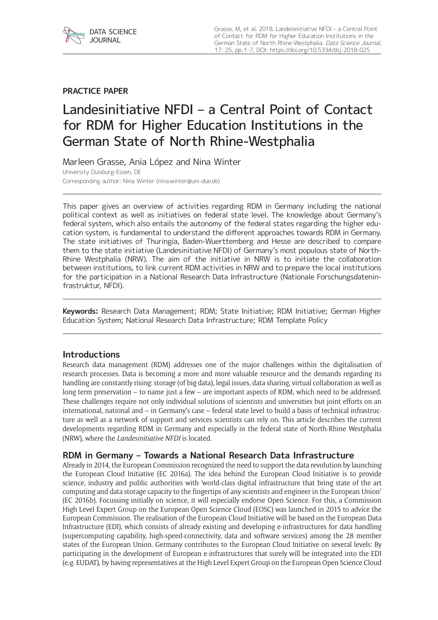

# **PRACTICE PAPER**

# Landesinitiative NFDI – a Central Point of Contact for RDM for Higher Education Institutions in the German State of North Rhine-Westphalia

Marleen Grasse, Ania López and Nina Winter University Duisburg-Essen, DE Corresponding author: Nina Winter [\(nina.winter@uni-due.de](mailto:nina.winter@uni-due.de))

This paper gives an overview of activities regarding RDM in Germany including the national political context as well as initiatives on federal state level. The knowledge about Germany's federal system, which also entails the autonomy of the federal states regarding the higher education system, is fundamental to understand the different approaches towards RDM in Germany. The state initiatives of Thuringia, Baden-Wuerttemberg and Hesse are described to compare them to the state initiative (Landesinitiative NFDI) of Germany's most populous state of North-Rhine Westphalia (NRW). The aim of the initiative in NRW is to initiate the collaboration between institutions, to link current RDM activities in NRW and to prepare the local institutions for the participation in a National Research Data Infrastructure (Nationale Forschungsdateninfrastruktur, NFDI).

**Keywords:** Research Data Management; RDM; State Initiative; RDM Initiative; German Higher Education System; National Research Data Infrastructure; RDM Template Policy

## **Introductions**

Research data management (RDM) addresses one of the major challenges within the digitalisation of research processes. Data is becoming a more and more valuable resource and the demands regarding its handling are constantly rising: storage (of big data), legal issues, data sharing, virtual collaboration as well as long term preservation – to name just a few – are important aspects of RDM, which need to be addressed. These challenges require not only individual solutions of scientists and universities but joint efforts on an international, national and – in Germany's case – federal state level to build a basis of technical infrastructure as well as a network of support and services scientists can rely on. This article describes the current developments regarding RDM in Germany and especially in the federal state of North-Rhine Westphalia (NRW), where the *Landesinitiative NFDI* is located.

## **RDM in Germany – Towards a National Research Data Infrastructure**

Already in 2014, the European Commission recognized the need to support the data revolution by launching the European Cloud Initiative (EC 2016a). The idea behind the European Cloud Initiative is to provide science, industry and public authorities with 'world-class digital infrastructure that bring state of the art computing and data storage capacity to the fingertips of any scientists and engineer in the European Union' (EC 2016b). Focussing initially on science, it will especially endorse Open Science. For this, a Commission High Level Expert Group on the European Open Science Cloud (EOSC) was launched in 2015 to advice the European Commission. The realisation of the European Cloud Initiative will be based on the European Data Infrastructure (EDI), which consists of already existing and developing e-infrastructures for data handling (supercomputing capability, high-speed-connectivity, data and software services) among the 28 member states of the European Union. Germany contributes to the European Cloud Initiative on several levels: By participating in the development of European e-infrastructures that surely will be integrated into the EDI (e.g. EUDAT), by having representatives at the High Level Expert Group on the European Open Science Cloud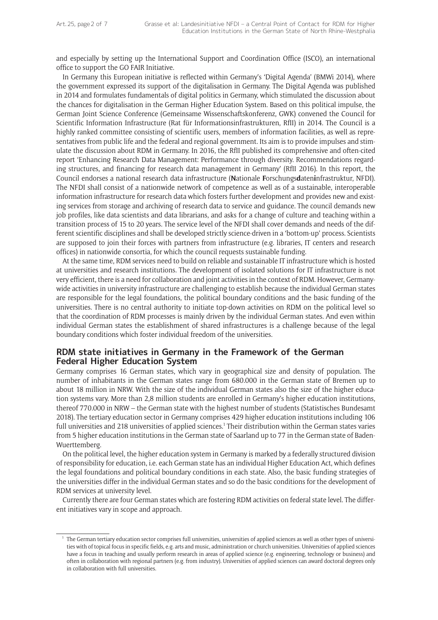and especially by setting up the International Support and Coordination Office (ISCO), an international office to support the GO FAIR Initiative.

In Germany this European initiative is reflected within Germany's 'Digital Agenda' (BMWi 2014), where the government expressed its support of the digitalisation in Germany. The Digital Agenda was published in 2014 and formulates fundamentals of digital politics in Germany, which stimulated the discussion about the chances for digitalisation in the German Higher Education System. Based on this political impulse, the German Joint Science Conference (Gemeinsame Wissenschaftskonferenz, GWK) convened the Council for Scientific Information Infrastructure (Rat für Informationsinfrastrukturen, RfII) in 2014. The Council is a highly ranked committee consisting of scientific users, members of information facilities, as well as representatives from public life and the federal and regional government. Its aim is to provide impulses and stimulate the discussion about RDM in Germany. In 2016, the RfII published its comprehensive and often-cited report 'Enhancing Research Data Management: Performance through diversity. Recommendations regarding structures, and financing for research data management in Germany' (RfII 2016). In this report, the Council endorses a national research data infrastructure (**N**ationale **F**orschungs**d**aten**i**nfrastruktur, NFDI). The NFDI shall consist of a nationwide network of competence as well as of a sustainable, interoperable information infrastructure for research data which fosters further development and provides new and existing services from storage and archiving of research data to service and guidance. The council demands new job profiles, like data scientists and data librarians, and asks for a change of culture and teaching within a transition process of 15 to 20 years. The service level of the NFDI shall cover demands and needs of the different scientific disciplines and shall be developed strictly science-driven in a 'bottom-up' process. Scientists are supposed to join their forces with partners from infrastructure (e.g. libraries, IT centers and research offices) in nationwide consortia, for which the council requests sustainable funding.

At the same time, RDM services need to build on reliable and sustainable IT infrastructure which is hosted at universities and research institutions. The development of isolated solutions for IT infrastructure is not very efficient, there is a need for collaboration and joint activities in the context of RDM. However, Germanywide activities in university infrastructure are challenging to establish because the individual German states are responsible for the legal foundations, the political boundary conditions and the basic funding of the universities. There is no central authority to initiate top-down activities on RDM on the political level so that the coordination of RDM processes is mainly driven by the individual German states. And even within individual German states the establishment of shared infrastructures is a challenge because of the legal boundary conditions which foster individual freedom of the universities.

## **RDM state initiatives in Germany in the Framework of the German Federal Higher Education System**

Germany comprises 16 German states, which vary in geographical size and density of population. The number of inhabitants in the German states range from 680.000 in the German state of Bremen up to about 18 million in NRW. With the size of the individual German states also the size of the higher education systems vary. More than 2,8 million students are enrolled in Germany's higher education institutions, thereof 770.000 in NRW – the German state with the highest number of students (Statistisches Bundesamt 2018). The tertiary education sector in Germany comprises 429 higher education institutions including 106 full universities and 218 universities of applied sciences.<sup>1</sup> Their distribution within the German states varies from 5 higher education institutions in the German state of Saarland up to 77 in the German state of Baden-Wuerttemberg.

On the political level, the higher education system in Germany is marked by a federally structured division of responsibility for education, i.e. each German state has an individual Higher Education Act, which defines the legal foundations and political boundary conditions in each state. Also, the basic funding strategies of the universities differ in the individual German states and so do the basic conditions for the development of RDM services at university level.

Currently there are four German states which are fostering RDM activities on federal state level. The different initiatives vary in scope and approach.

<sup>&</sup>lt;sup>1</sup> The German tertiary education sector comprises full universities, universities of applied sciences as well as other types of universities with of topical focus in specific fields, e.g. arts and music, administration or church universities. Universities of applied sciences have a focus in teaching and usually perform research in areas of applied science (e.g. engineering, technology or business) and often in collaboration with regional partners (e.g. from industry). Universities of applied sciences can award doctoral degrees only in collaboration with full universities.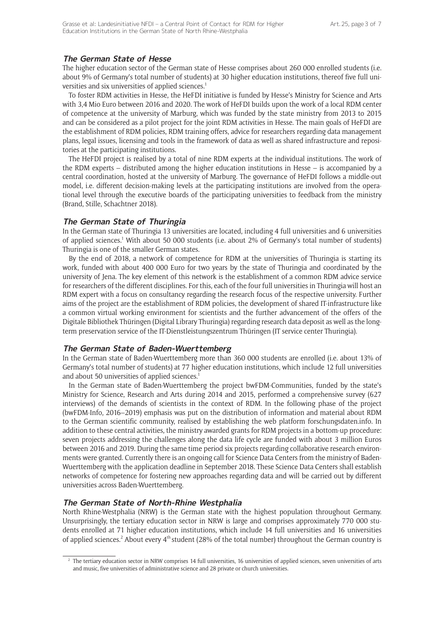## **The German State of Hesse**

The higher education sector of the German state of Hesse comprises about 260 000 enrolled students (i.e. about 9% of Germany's total number of students) at 30 higher education institutions, thereof five full universities and six universities of applied sciences.<sup>1</sup>

To foster RDM activities in Hesse, the HeFDI initiative is funded by Hesse's Ministry for Science and Arts with 3,4 Mio Euro between 2016 and 2020. The work of HeFDI builds upon the work of a local RDM center of competence at the university of Marburg, which was funded by the state ministry from 2013 to 2015 and can be considered as a pilot project for the joint RDM activities in Hesse. The main goals of HeFDI are the establishment of RDM policies, RDM training offers, advice for researchers regarding data management plans, legal issues, licensing and tools in the framework of data as well as shared infrastructure and repositories at the participating institutions.

The HeFDI project is realised by a total of nine RDM experts at the individual institutions. The work of the RDM experts – distributed among the higher education institutions in Hesse – is accompanied by a central coordination, hosted at the university of Marburg. The governance of HeFDI follows a middle-out model, i.e. different decision-making levels at the participating institutions are involved from the operational level through the executive boards of the participating universities to feedback from the ministry (Brand, Stille, Schachtner 2018).

#### **The German State of Thuringia**

In the German state of Thuringia 13 universities are located, including 4 full universities and 6 universities of applied sciences.<sup>1</sup> With about 50 000 students (i.e. about 2% of Germany's total number of students) Thuringia is one of the smaller German states.

By the end of 2018, a network of competence for RDM at the universities of Thuringia is starting its work, funded with about 400 000 Euro for two years by the state of Thuringia and coordinated by the university of Jena. The key element of this network is the establishment of a common RDM advice service for researchers of the different disciplines. For this, each of the four full universities in Thuringia will host an RDM expert with a focus on consultancy regarding the research focus of the respective university. Further aims of the project are the establishment of RDM policies, the development of shared IT-infrastructure like a common virtual working environment for scientists and the further advancement of the offers of the Digitale Bibliothek Thüringen (Digital Library Thuringia) regarding research data deposit as well as the longterm preservation service of the IT-Dienstleistungszentrum Thüringen (IT service center Thuringia).

#### **The German State of Baden-Wuerttemberg**

In the German state of Baden-Wuerttemberg more than 360 000 students are enrolled (i.e. about 13% of Germany's total number of students) at 77 higher education institutions, which include 12 full universities and about 50 universities of applied sciences. $1$ 

In the German state of Baden-Wuerttemberg the project bwFDM-Communities, funded by the state's Ministry for Science, Research and Arts during 2014 and 2015, performed a comprehensive survey (627 interviews) of the demands of scientists in the context of RDM. In the following phase of the project (bwFDM-Info, 2016–2019) emphasis was put on the distribution of information and material about RDM to the German scientific community, realised by establishing the web platform forschungsdaten.info. In addition to these central activities, the ministry awarded grants for RDM projects in a bottom-up procedure: seven projects addressing the challenges along the data life cycle are funded with about 3 million Euros between 2016 and 2019. During the same time period six projects regarding collaborative research environments were granted. Currently there is an ongoing call for Science Data Centers from the ministry of Baden-Wuerttemberg with the application deadline in September 2018. These Science Data Centers shall establish networks of competence for fostering new approaches regarding data and will be carried out by different universities across Baden-Wuerttemberg.

#### **The German State of North-Rhine Westphalia**

North Rhine-Westphalia (NRW) is the German state with the highest population throughout Germany. Unsurprisingly, the tertiary education sector in NRW is large and comprises approximately 770 000 students enrolled at 71 higher education institutions, which include 14 full universities and 16 universities of applied sciences.<sup>2</sup> About every  $4<sup>th</sup>$  student (28% of the total number) throughout the German country is

<sup>&</sup>lt;sup>2</sup> The tertiary education sector in NRW comprises 14 full universities, 16 universities of applied sciences, seven universities of arts and music, five universities of administrative science and 28 private or church universities.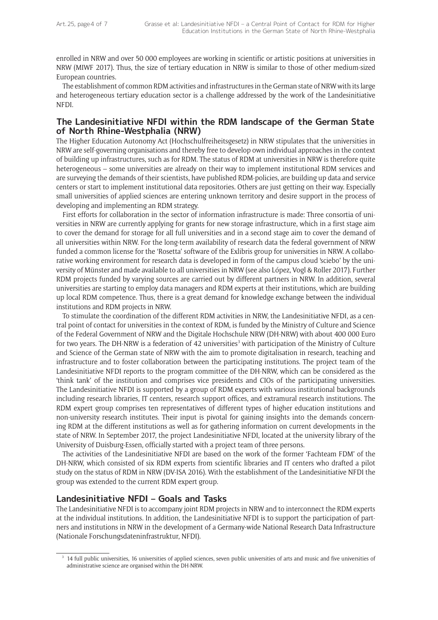enrolled in NRW and over 50 000 employees are working in scientific or artistic positions at universities in NRW (MIWF 2017). Thus, the size of tertiary education in NRW is similar to those of other medium-sized European countries.

The establishment of common RDM activities and infrastructures in the German state of NRW with its large and heterogeneous tertiary education sector is a challenge addressed by the work of the Landesinitiative NFDI.

## **The Landesinitiative NFDI within the RDM landscape of the German State of North Rhine-Westphalia (NRW)**

The Higher Education Autonomy Act (Hochschulfreiheitsgesetz) in NRW stipulates that the universities in NRW are self-governing organisations and thereby free to develop own individual approaches in the context of building up infrastructures, such as for RDM. The status of RDM at universities in NRW is therefore quite heterogeneous – some universities are already on their way to implement institutional RDM services and are surveying the demands of their scientists, have published RDM-policies, are building up data and service centers or start to implement institutional data repositories. Others are just getting on their way. Especially small universities of applied sciences are entering unknown territory and desire support in the process of developing and implementing an RDM strategy.

First efforts for collaboration in the sector of information infrastructure is made: Three consortia of universities in NRW are currently applying for grants for new storage infrastructure, which in a first stage aim to cover the demand for storage for all full universities and in a second stage aim to cover the demand of all universities within NRW. For the long-term availability of research data the federal government of NRW funded a common license for the 'Rosetta' software of the Exlibris group for universities in NRW. A collaborative working environment for research data is developed in form of the campus cloud 'sciebo' by the university of Münster and made available to all universities in NRW (see also López, Vogl & Roller 2017). Further RDM projects funded by varying sources are carried out by different partners in NRW. In addition, several universities are starting to employ data managers and RDM experts at their institutions, which are building up local RDM competence. Thus, there is a great demand for knowledge exchange between the individual institutions and RDM projects in NRW.

To stimulate the coordination of the different RDM activities in NRW, the Landesinitiative NFDI, as a central point of contact for universities in the context of RDM, is funded by the Ministry of Culture and Science of the Federal Government of NRW and the Digitale Hochschule NRW (DH-NRW) with about 400 000 Euro for two years. The DH-NRW is a federation of 42 universities<sup>3</sup> with participation of the Ministry of Culture and Science of the German state of NRW with the aim to promote digitalisation in research, teaching and infrastructure and to foster collaboration between the participating institutions. The project team of the Landesinitiative NFDI reports to the program committee of the DH-NRW, which can be considered as the 'think tank' of the institution and comprises vice presidents and CIOs of the participating universities. The Landesinitiative NFDI is supported by a group of RDM experts with various institutional backgrounds including research libraries, IT centers, research support offices, and extramural research institutions. The RDM expert group comprises ten representatives of different types of higher education institutions and non-university research institutes. Their input is pivotal for gaining insights into the demands concerning RDM at the different institutions as well as for gathering information on current developments in the state of NRW. In September 2017, the project Landesinitiative NFDI, located at the university library of the University of Duisburg-Essen, officially started with a project team of three persons.

The activities of the Landesinitiative NFDI are based on the work of the former 'Fachteam FDM' of the DH-NRW, which consisted of six RDM experts from scientific libraries and IT centers who drafted a pilot study on the status of RDM in NRW (DV-ISA 2016). With the establishment of the Landesinitiative NFDI the group was extended to the current RDM expert group.

# **Landesinitiative NFDI – Goals and Tasks**

The Landesinitiative NFDI is to accompany joint RDM projects in NRW and to interconnect the RDM experts at the individual institutions. In addition, the Landesinitiative NFDI is to support the participation of partners and institutions in NRW in the development of a Germany-wide National Research Data Infrastructure (Nationale Forschungsdateninfrastruktur, NFDI).

<sup>&</sup>lt;sup>3</sup> 14 full public universities, 16 universities of applied sciences, seven public universities of arts and music and five universities of administrative science are organised within the DH-NRW.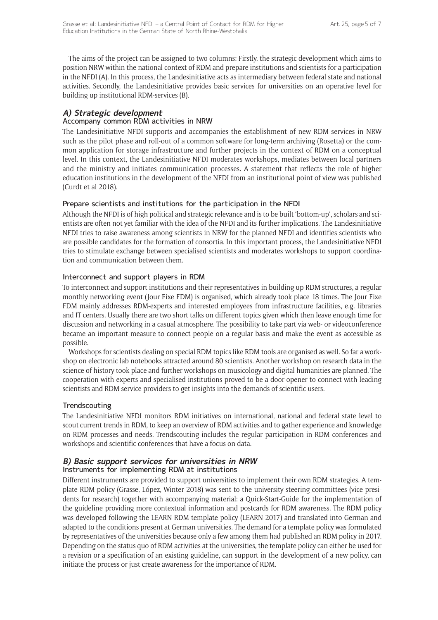The aims of the project can be assigned to two columns: Firstly, the strategic development which aims to position NRW within the national context of RDM and prepare institutions and scientists for a participation in the NFDI (A). In this process, the Landesinitiative acts as intermediary between federal state and national activities. Secondly, the Landesinitiative provides basic services for universities on an operative level for building up institutional RDM-services (B).

# **A) Strategic development**

# Accompany common RDM activities in NRW

The Landesinitiative NFDI supports and accompanies the establishment of new RDM services in NRW such as the pilot phase and roll-out of a common software for long-term archiving (Rosetta) or the common application for storage infrastructure and further projects in the context of RDM on a conceptual level. In this context, the Landesinitiative NFDI moderates workshops, mediates between local partners and the ministry and initiates communication processes. A statement that reflects the role of higher education institutions in the development of the NFDI from an institutional point of view was published (Curdt et al 2018).

## Prepare scientists and institutions for the participation in the NFDI

Although the NFDI is of high political and strategic relevance and is to be built 'bottom-up', scholars and scientists are often not yet familiar with the idea of the NFDI and its further implications. The Landesinitiative NFDI tries to raise awareness among scientists in NRW for the planned NFDI and identifies scientists who are possible candidates for the formation of consortia. In this important process, the Landesinitiative NFDI tries to stimulate exchange between specialised scientists and moderates workshops to support coordination and communication between them.

## Interconnect and support players in RDM

To interconnect and support institutions and their representatives in building up RDM structures, a regular monthly networking event (Jour Fixe FDM) is organised, which already took place 18 times. The Jour Fixe FDM mainly addresses RDM-experts and interested employees from infrastructure facilities, e.g. libraries and IT centers. Usually there are two short talks on different topics given which then leave enough time for discussion and networking in a casual atmosphere. The possibility to take part via web- or videoconference became an important measure to connect people on a regular basis and make the event as accessible as possible.

Workshops for scientists dealing on special RDM topics like RDM tools are organised as well. So far a workshop on electronic lab notebooks attracted around 80 scientists. Another workshop on research data in the science of history took place and further workshops on musicology and digital humanities are planned. The cooperation with experts and specialised institutions proved to be a door-opener to connect with leading scientists and RDM service providers to get insights into the demands of scientific users.

## **Trendscouting**

The Landesinitiative NFDI monitors RDM initiatives on international, national and federal state level to scout current trends in RDM, to keep an overview of RDM activities and to gather experience and knowledge on RDM processes and needs. Trendscouting includes the regular participation in RDM conferences and workshops and scientific conferences that have a focus on data.

#### **B) Basic support services for universities in NRW** Instruments for implementing RDM at institutions

Different instruments are provided to support universities to implement their own RDM strategies. A template RDM policy (Grasse, López, Winter 2018) was sent to the university steering committees (vice presidents for research) together with accompanying material: a Quick-Start-Guide for the implementation of the guideline providing more contextual information and postcards for RDM awareness. The RDM policy was developed following the LEARN RDM template policy (LEARN 2017) and translated into German and adapted to the conditions present at German universities. The demand for a template policy was formulated by representatives of the universities because only a few among them had published an RDM policy in 2017. Depending on the status quo of RDM activities at the universities, the template policy can either be used for a revision or a specification of an existing guideline, can support in the development of a new policy, can initiate the process or just create awareness for the importance of RDM.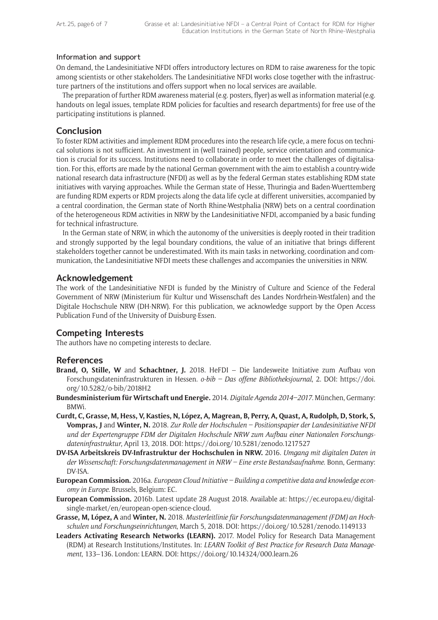#### Information and support

On demand, the Landesinitiative NFDI offers introductory lectures on RDM to raise awareness for the topic among scientists or other stakeholders. The Landesinitiative NFDI works close together with the infrastructure partners of the institutions and offers support when no local services are available.

The preparation of further RDM awareness material (e.g. posters, flyer) as well as information material (e.g. handouts on legal issues, template RDM policies for faculties and research departments) for free use of the participating institutions is planned.

## **Conclusion**

To foster RDM activities and implement RDM procedures into the research life cycle, a mere focus on technical solutions is not sufficient. An investment in (well trained) people, service orientation and communication is crucial for its success. Institutions need to collaborate in order to meet the challenges of digitalisation. For this, efforts are made by the national German government with the aim to establish a country-wide national research data infrastructure (NFDI) as well as by the federal German states establishing RDM state initiatives with varying approaches. While the German state of Hesse, Thuringia and Baden-Wuerttemberg are funding RDM experts or RDM projects along the data life cycle at different universities, accompanied by a central coordination, the German state of North Rhine-Westphalia (NRW) bets on a central coordination of the heterogeneous RDM activities in NRW by the Landesinitiative NFDI, accompanied by a basic funding for technical infrastructure.

In the German state of NRW, in which the autonomy of the universities is deeply rooted in their tradition and strongly supported by the legal boundary conditions, the value of an initiative that brings different stakeholders together cannot be underestimated. With its main tasks in networking, coordination and communication, the Landesinitiative NFDI meets these challenges and accompanies the universities in NRW.

## **Acknowledgement**

The work of the Landesinitiative NFDI is funded by the Ministry of Culture and Science of the Federal Government of NRW (Ministerium für Kultur und Wissenschaft des Landes Nordrhein-Westfalen) and the Digitale Hochschule NRW (DH-NRW). For this publication, we acknowledge support by the Open Access Publication Fund of the University of Duisburg-Essen.

# **Competing Interests**

The authors have no competing interests to declare.

## **References**

- **Brand, O, Stille, W** and **Schachtner, J.** 2018. HeFDI Die landesweite Initiative zum Aufbau von Forschungsdateninfrastrukturen in Hessen. *o-bib – Das offene Bibliotheksjournal*, 2. DOI: [https://doi.](https://doi.org/10.5282/o-bib/2018H2) [org/10.5282/o-bib/2018H2](https://doi.org/10.5282/o-bib/2018H2)
- **Bundesministerium für Wirtschaft und Energie.** 2014. *Digitale Agenda 2014–2017*. München, Germany: BMWi.
- **Curdt, C, Grasse, M, Hess, V, Kasties, N, López, A, Magrean, B, Perry, A, Quast, A, Rudolph, D, Stork, S, Vompras, J** and **Winter, N.** 2018. *Zur Rolle der Hochschulen – Positionspapier der Landesinitiative NFDI und der Expertengruppe FDM der Digitalen Hochschule NRW zum Aufbau einer Nationalen Forschungsdateninfrastruktur*, April 13, 2018. DOI:<https://doi.org/10.5281/zenodo.1217527>
- **DV-ISA Arbeitskreis DV-Infrastruktur der Hochschulen in NRW.** 2016. *Umgang mit digitalen Daten in der Wissenschaft: Forschungsdatenmanagement in NRW – Eine erste Bestandsaufnahme*. Bonn, Germany: DV-ISA.
- **European Commission.** 2016a. *European Cloud Initiative Building a competitive data and knowledge economy in Europe*. Brussels, Belgium: EC.
- **European Commission.** 2016b. Latest update 28 August 2018. Available at: [https://ec.europa.eu/digital](https://ec.europa.eu/digital-single-market/en/european-open-science-cloud)[single-market/en/european-open-science-cloud.](https://ec.europa.eu/digital-single-market/en/european-open-science-cloud)
- **Grasse, M, López, A** and **Winter, N.** 2018. *Musterleitlinie für Forschungsdatenmanagement (FDM) an Hochschulen und Forschungseinrichtungen*, March 5, 2018. DOI: <https://doi.org/10.5281/zenodo.1149133>
- **Leaders Activating Research Networks (LEARN).** 2017. Model Policy for Research Data Management (RDM) at Research Institutions/Institutes. In: *LEARN Toolkit of Best Practice for Research Data Management*, 133–136. London: LEARN. DOI:<https://doi.org/10.14324/000.learn.26>